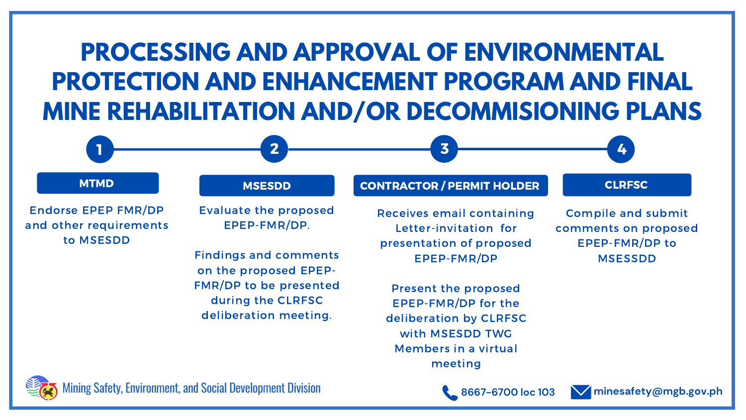1 2 3

**8667-6700 loc 103**

# **PROCESSING AND APPROVAL OF ENVIRONMENTAL PROTECTION AND ENHANCEMENT PROGRAM AND FINAL MINE REHABILITATION AND/OR DECOMMISIONING PLANS**



Endorse EPEP FMR/DP and other requirements to MSESDD

## MTMD MSESDD

**minesafety@mgb.gov.ph**

Evaluate the proposed EPEP-FMR/DP.

Findings and comments on the proposed EPEP-FMR/DP to be presented during the CLRFSC deliberation meeting.

Compile and submit comments on proposed EPEP-FMR/DP to MSESSDD

**CLRFSC** 



## CONTRACTOR / PERMIT HOLDER

Receives email containing Letter-invitation for presentation of proposed EPEP-FMR/DP

Present the proposed EPEP-FMR/DP for the deliberation by CLRFSC with MSESDD TWG Members in a virtual meeting



Mining Safety, Environment, and Social Development Division

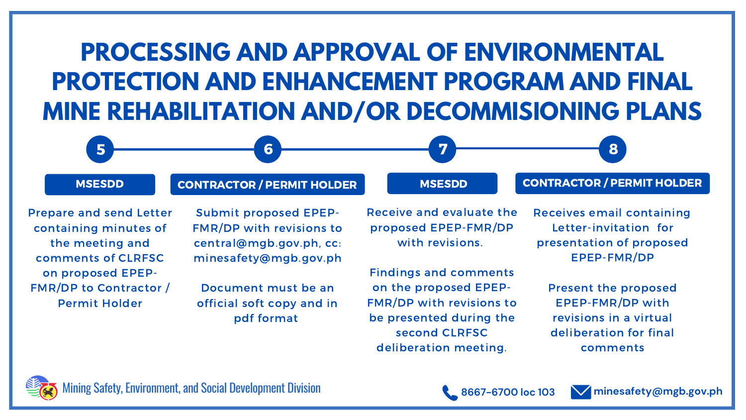5 6 7

**8667-6700 loc 103 minesafety@mgb.gov.ph**

8

### MSESDD

Prepare and send Letter containing minutes of the meeting and comments of CLRFSC on proposed EPEP-FMR/DP to Contractor / Permit Holder

Submit proposed EPEP-FMR/DP with revisions to central@mgb.gov.ph, cc: minesafety@mgb.gov.ph

Document must be an official soft copy and in pdf format

### **MSESDD**

### CONTRACTOR / PERMIT HOLDER

Receive and evaluate the proposed EPEP-FMR/DP with revisions.

Findings and comments on the proposed EPEP-FMR/DP with revisions to be presented during the second CLRFSC deliberation meeting.



Receives email containing Letter-invitation for presentation of proposed EPEP-FMR/DP

Present the proposed EPEP-FMR/DP with revisions in a virtual deliberation for final comments

# **PROCESSING AND APPROVAL OF ENVIRONMENTAL PROTECTION AND ENHANCEMENT PROGRAM AND FINAL MINE REHABILITATION AND/OR DECOMMISIONING PLANS**

Mining Safety, Environment, and Social Development Division



## CONTRACTOR / PERMIT HOLDER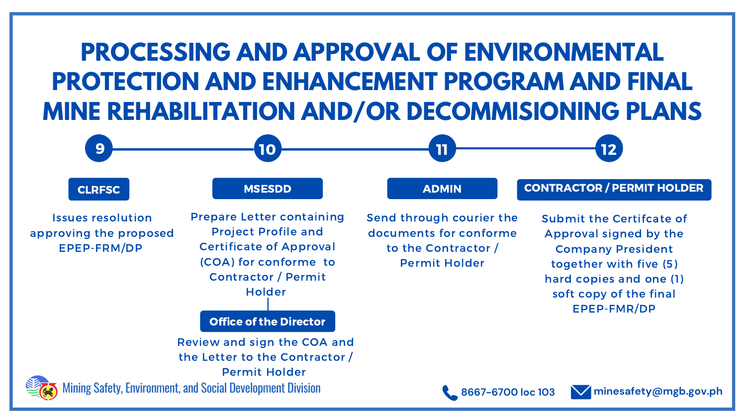**8667-6700 loc 103 minesafety@mgb.gov.ph**

(COA) for conforme to Contractor / Permit Holder

Issues resolution approving the proposed EPEP-FRM/DP

Office of the Director

Review and sign the COA and the Letter to the Contractor / Permit Holder

Send through courier the documents for conforme to the Contractor / Permit Holder



Submit the Certifcate of Approval signed by the Company President together with five (5) hard copies and one (1) soft copy of the final EPEP-FMR/DP



# **PROCESSING AND APPROVAL OF ENVIRONMENTAL PROTECTION AND ENHANCEMENT PROGRAM AND FINAL MINE REHABILITATION AND/OR DECOMMISIONING PLANS**

Mining Safety, Environment, and Social Development Division



12